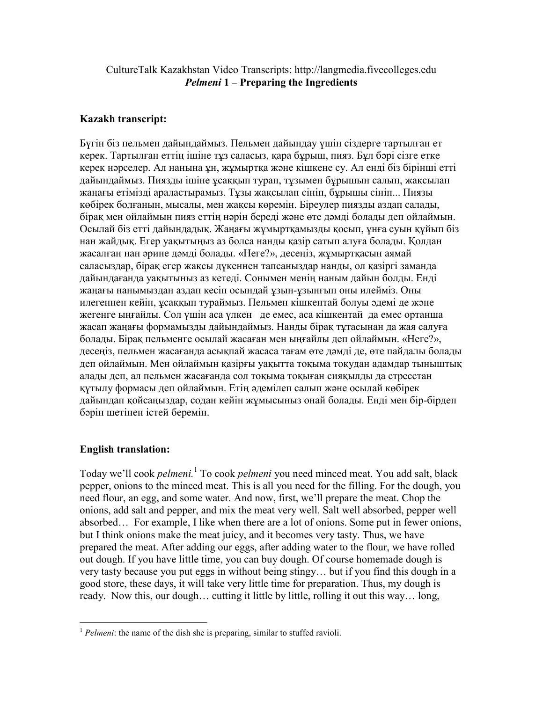## CultureTalk Kazakhstan Video Transcripts: http://langmedia.fivecolleges.edu Pelmeni 1 – Preparing the Ingredients

## Kazakh transcript:

Бүгін біз пельмен дайындаймыз. Пельмен дайындау үшін сіздерге тартылған ет керек. Тартылған еттің ішіне тұз саласыз, қара бұрыш, пияз. Бұл бəрі сізге етке керек нəрселер. Ал нанына ұн, жұмыртқа жəне кішкене су. Ал енді біз бірінші етті дайындаймыз. Пиязды ішіне ұсаққып турап, тұзымен бұрышын салып, жақсылап жаңағы етімізді араластырамыз. Тұзы жақсылап сініп, бұрышы сініп... Пиязы көбірек болғанын, мысалы, мен жақсы көремін. Біреулер пиязды аздап салады, бірақ мен ойлаймын пияз еттің нəрін береді жəне өте дəмді болады деп ойлаймын. Осылай біз етті дайындадық. Жаңағы жұмыртқамызды қосып, ұнға суын құйып біз нан жайдық. Егер уақытыңыз аз болса нанды қазір сатып алуға болады. Қолдан жасалған нан əрине дəмді болады. «Неге?», десеңіз, жұмыртқасын аямай саласыздар, бірақ егер жақсы дүкеннен тапсаныздар нанды, ол қазіргі заманда дайындағанда уақытыныз аз кетеді. Сонымен менің наным дайын болды. Енді жаңағы нанымыздан аздап кесіп осындай ұзын-ұзынғып оны илейміз. Оны илегеннен кейін, ұсаққып тураймыз. Пельмен кішкентай болуы əдемі де жəне жегенге ыңғайлы. Сол үшін аса үлкен де емес, аса кішкентай да емес ортанша жасап жаңағы формамызды дайындаймыз. Нанды бірақ тұтасынан да жая салуға болады. Бірақ пельменге осылай жасаған мен ыңғайлы деп ойлаймын. «Неге?», десеңіз, пельмен жасағанда асықпай жасаса тағам өте дəмді де, өте пайдалы болады деп ойлаймын. Мен ойлаймын қазірғы уақытта тоқыма тоқудан адамдар тыныштық алады деп, ал пельмен жасағанда сол тоқыма тоқыған сияқылды да стресстан құтылу формасы деп ойлаймын. Етің əдемілеп салып жəне осылай көбірек дайындап қойсаңыздар, содан кейін жұмысыныз онай болады. Енді мен бір-бірдеп бəрін шетінен істей беремін.

## English translation:

 $\overline{a}$ 

Today we'll cook *pelmeni*.<sup>1</sup> To cook *pelmeni* you need minced meat. You add salt, black pepper, onions to the minced meat. This is all you need for the filling. For the dough, you need flour, an egg, and some water. And now, first, we'll prepare the meat. Chop the onions, add salt and pepper, and mix the meat very well. Salt well absorbed, pepper well absorbed… For example, I like when there are a lot of onions. Some put in fewer onions, but I think onions make the meat juicy, and it becomes very tasty. Thus, we have prepared the meat. After adding our eggs, after adding water to the flour, we have rolled out dough. If you have little time, you can buy dough. Of course homemade dough is very tasty because you put eggs in without being stingy… but if you find this dough in a good store, these days, it will take very little time for preparation. Thus, my dough is ready. Now this, our dough… cutting it little by little, rolling it out this way… long,

 $1$  Pelmeni: the name of the dish she is preparing, similar to stuffed ravioli.